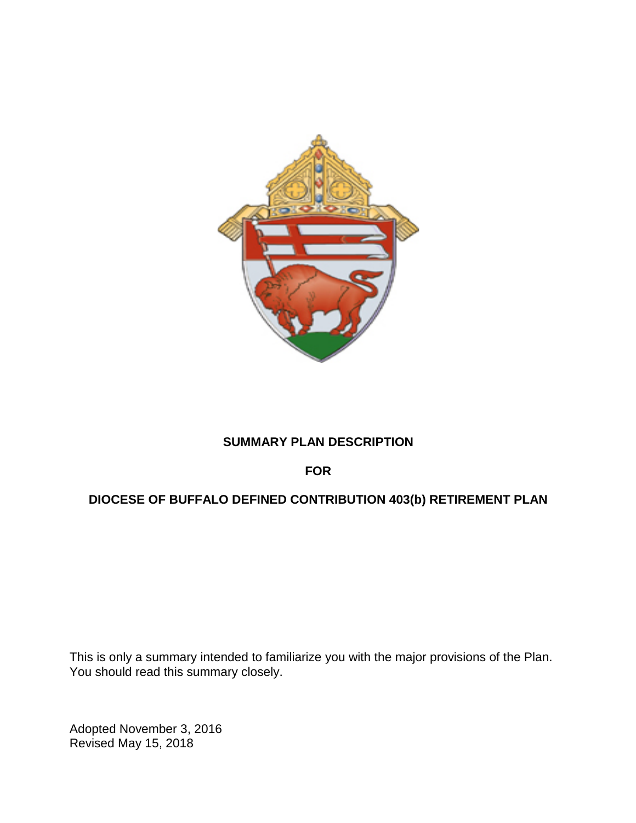

# **SUMMARY PLAN DESCRIPTION**

## **FOR**

# **DIOCESE OF BUFFALO DEFINED CONTRIBUTION 403(b) RETIREMENT PLAN**

This is only a summary intended to familiarize you with the major provisions of the Plan. You should read this summary closely.

Adopted November 3, 2016 Revised May 15, 2018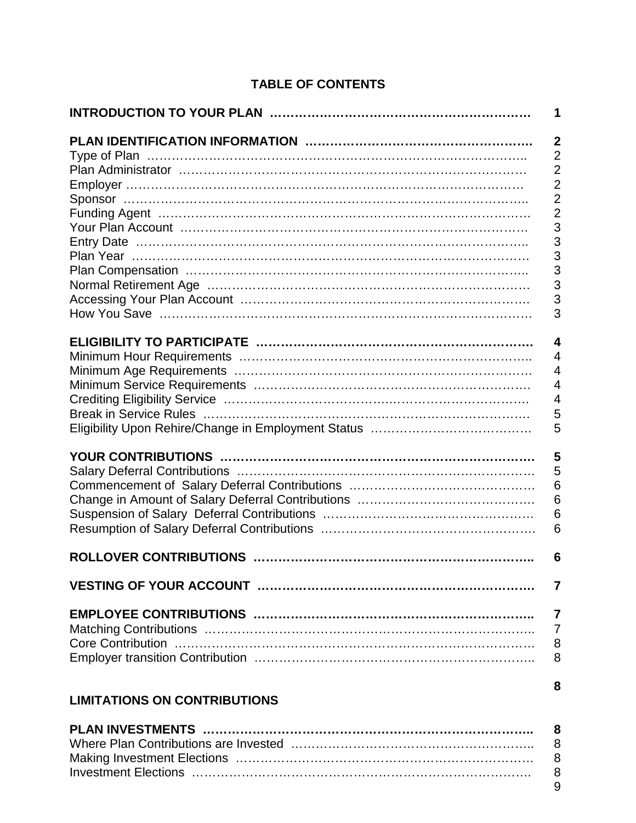## **TABLE OF CONTENTS**

|                                     | 1               |
|-------------------------------------|-----------------|
|                                     | $\overline{2}$  |
|                                     | $\overline{2}$  |
|                                     | $\overline{2}$  |
|                                     | $\overline{2}$  |
|                                     | $\overline{2}$  |
|                                     | $\overline{2}$  |
|                                     | 3               |
|                                     |                 |
|                                     | $\frac{3}{3}$   |
|                                     | 3               |
|                                     | 3               |
|                                     | $\overline{3}$  |
|                                     |                 |
|                                     | 3               |
|                                     |                 |
|                                     | $\overline{4}$  |
|                                     | $\overline{4}$  |
|                                     | $\overline{4}$  |
|                                     | $\overline{4}$  |
|                                     | $\overline{4}$  |
|                                     | 5               |
|                                     | 5               |
|                                     |                 |
|                                     | 5               |
|                                     | 5               |
|                                     | $6\phantom{1}6$ |
|                                     | 6               |
|                                     | 6               |
|                                     | 6               |
|                                     |                 |
|                                     | 6               |
|                                     | 7               |
|                                     |                 |
|                                     | 7               |
|                                     | $\overline{7}$  |
|                                     | 8               |
|                                     | 8               |
|                                     | 8               |
| <b>LIMITATIONS ON CONTRIBUTIONS</b> |                 |

## **PLAN INVESTMENTS …………………………………………………………………….. 8** Where Plan Contributions are Invested ………………………………………………….. 8 Making Investment Elections ……………………………………………………………… 8 Investment Elections ………………………………………………………………………. 8 9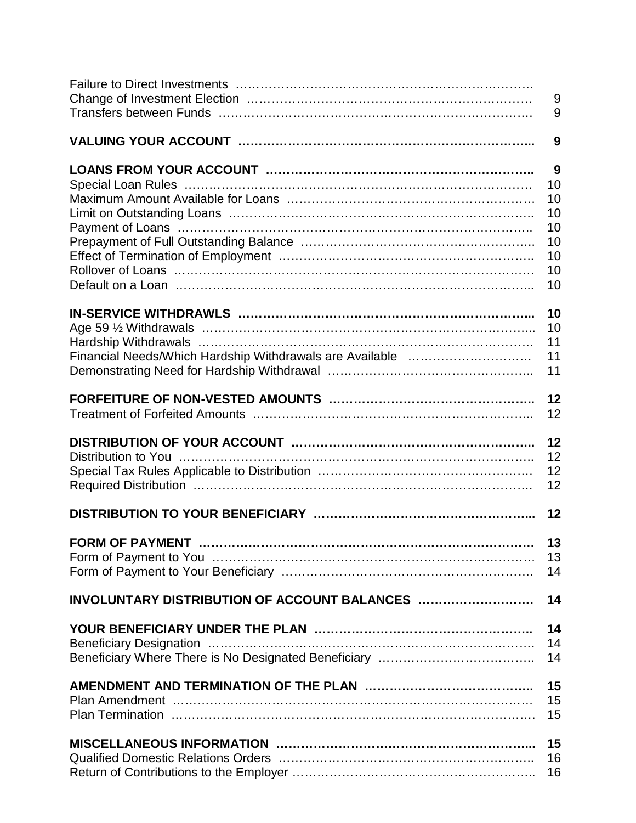|                                              | $9\,$    |
|----------------------------------------------|----------|
|                                              | 9        |
|                                              |          |
|                                              | 9        |
|                                              |          |
|                                              | 9        |
|                                              | 10       |
|                                              | 10       |
|                                              | 10       |
|                                              | 10       |
|                                              | 10       |
|                                              | 10       |
|                                              | 10       |
|                                              | 10       |
|                                              |          |
|                                              | 10       |
|                                              | 10       |
|                                              | 11       |
|                                              | 11       |
|                                              | 11       |
|                                              |          |
|                                              | 12       |
|                                              | 12       |
|                                              |          |
|                                              | 12       |
|                                              | 12       |
|                                              | 12       |
|                                              | 12       |
|                                              |          |
|                                              | 12       |
|                                              |          |
|                                              |          |
| <b>FORM OF PAYMENT</b>                       | 13       |
|                                              | 13       |
|                                              | 14       |
|                                              |          |
| INVOLUNTARY DISTRIBUTION OF ACCOUNT BALANCES | 14       |
|                                              |          |
|                                              | 14       |
|                                              | 14       |
|                                              | 14       |
|                                              |          |
|                                              | 15       |
|                                              | 15       |
|                                              | 15       |
|                                              |          |
|                                              | 15       |
|                                              | 16<br>16 |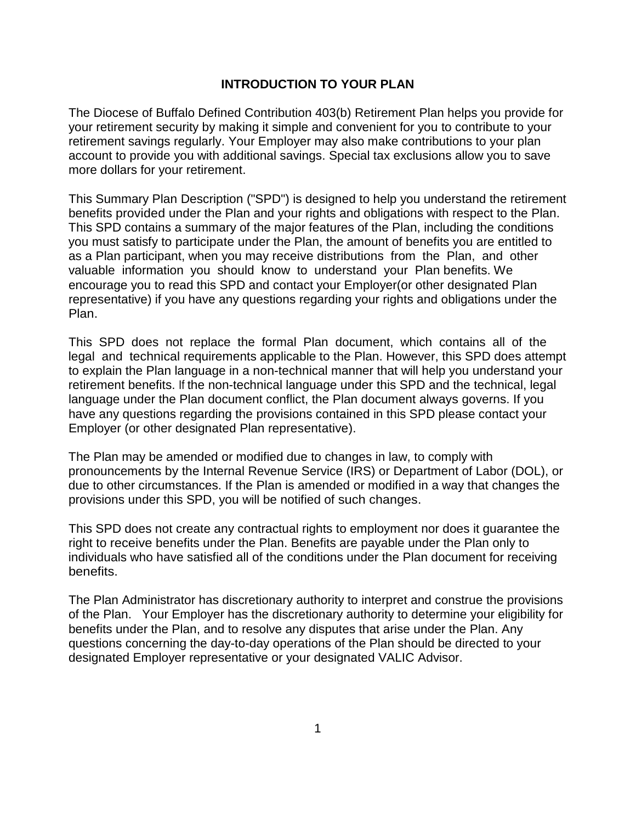### **INTRODUCTION TO YOUR PLAN**

The Diocese of Buffalo Defined Contribution 403(b) Retirement Plan helps you provide for your retirement security by making it simple and convenient for you to contribute to your retirement savings regularly. Your Employer may also make contributions to your plan account to provide you with additional savings. Special tax exclusions allow you to save more dollars for your retirement.

This Summary Plan Description ("SPD") is designed to help you understand the retirement benefits provided under the Plan and your rights and obligations with respect to the Plan. This SPD contains a summary of the major features of the Plan, including the conditions you must satisfy to participate under the Plan, the amount of benefits you are entitled to as a Plan participant, when you may receive distributions from the Plan, and other valuable information you should know to understand your Plan benefits. We encourage you to read this SPD and contact your Employer(or other designated Plan representative) if you have any questions regarding your rights and obligations under the Plan.

This SPD does not replace the formal Plan document, which contains all of the legal and technical requirements applicable to the Plan. However, this SPD does attempt to explain the Plan language in a non-technical manner that will help you understand your retirement benefits. If the non-technical language under this SPD and the technical, legal language under the Plan document conflict, the Plan document always governs. If you have any questions regarding the provisions contained in this SPD please contact your Employer (or other designated Plan representative).

The Plan may be amended or modified due to changes in law, to comply with pronouncements by the Internal Revenue Service (IRS) or Department of Labor (DOL), or due to other circumstances. If the Plan is amended or modified in a way that changes the provisions under this SPD, you will be notified of such changes.

This SPD does not create any contractual rights to employment nor does it guarantee the right to receive benefits under the Plan. Benefits are payable under the Plan only to individuals who have satisfied all of the conditions under the Plan document for receiving benefits.

The Plan Administrator has discretionary authority to interpret and construe the provisions of the Plan. Your Employer has the discretionary authority to determine your eligibility for benefits under the Plan, and to resolve any disputes that arise under the Plan. Any questions concerning the day-to-day operations of the Plan should be directed to your designated Employer representative or your designated VALIC Advisor.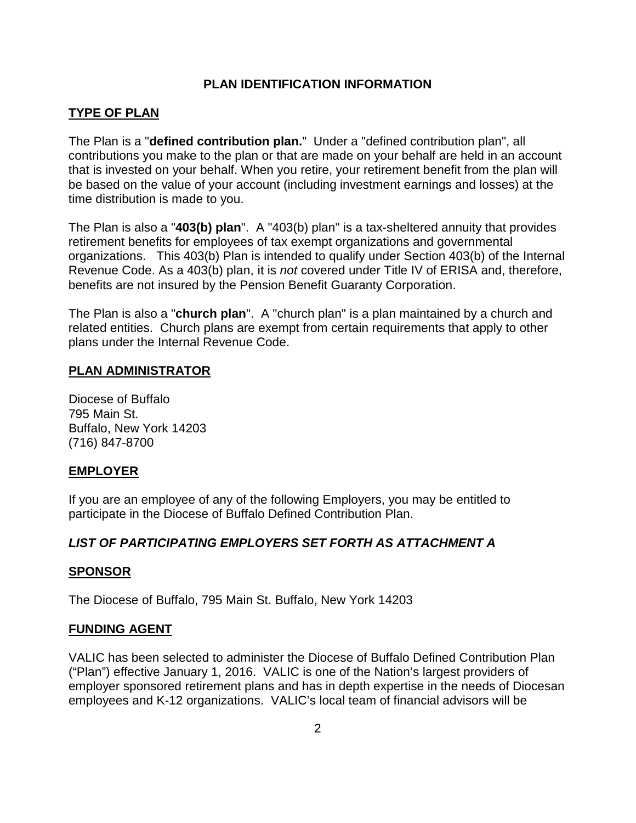## **PLAN IDENTIFICATION INFORMATION**

### **TYPE OF PLAN**

The Plan is a "**defined contribution plan.**" Under a "defined contribution plan", all contributions you make to the plan or that are made on your behalf are held in an account that is invested on your behalf. When you retire, your retirement benefit from the plan will be based on the value of your account (including investment earnings and losses) at the time distribution is made to you.

The Plan is also a "**403(b) plan**". A "403(b) plan" is a tax-sheltered annuity that provides retirement benefits for employees of tax exempt organizations and governmental organizations. This 403(b) Plan is intended to qualify under Section 403(b) of the Internal Revenue Code. As a 403(b) plan, it is *not* covered under Title IV of ERISA and, therefore, benefits are not insured by the Pension Benefit Guaranty Corporation.

The Plan is also a "**church plan**". A "church plan" is a plan maintained by a church and related entities. Church plans are exempt from certain requirements that apply to other plans under the Internal Revenue Code.

### **PLAN ADMINISTRATOR**

Diocese of Buffalo 795 Main St. Buffalo, New York 14203 (716) 847-8700

### **EMPLOYER**

If you are an employee of any of the following Employers, you may be entitled to participate in the Diocese of Buffalo Defined Contribution Plan.

## *LIST OF PARTICIPATING EMPLOYERS SET FORTH AS ATTACHMENT A*

### **SPONSOR**

The Diocese of Buffalo, 795 Main St. Buffalo, New York 14203

### **FUNDING AGENT**

VALIC has been selected to administer the Diocese of Buffalo Defined Contribution Plan ("Plan") effective January 1, 2016. VALIC is one of the Nation's largest providers of employer sponsored retirement plans and has in depth expertise in the needs of Diocesan employees and K-12 organizations. VALIC's local team of financial advisors will be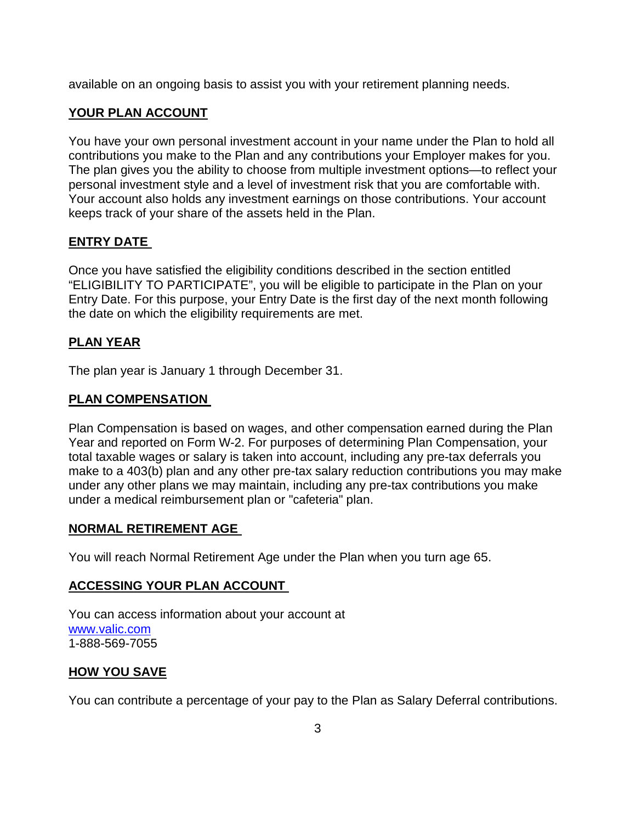available on an ongoing basis to assist you with your retirement planning needs.

## **YOUR PLAN ACCOUNT**

You have your own personal investment account in your name under the Plan to hold all contributions you make to the Plan and any contributions your Employer makes for you. The plan gives you the ability to choose from multiple investment options—to reflect your personal investment style and a level of investment risk that you are comfortable with. Your account also holds any investment earnings on those contributions. Your account keeps track of your share of the assets held in the Plan.

## **ENTRY DATE**

Once you have satisfied the eligibility conditions described in the section entitled "ELIGIBILITY TO PARTICIPATE", you will be eligible to participate in the Plan on your Entry Date. For this purpose, your Entry Date is the first day of the next month following the date on which the eligibility requirements are met.

## **PLAN YEAR**

The plan year is January 1 through December 31.

## **PLAN COMPENSATION**

Plan Compensation is based on wages, and other compensation earned during the Plan Year and reported on Form W-2. For purposes of determining Plan Compensation, your total taxable wages or salary is taken into account, including any pre-tax deferrals you make to a 403(b) plan and any other pre-tax salary reduction contributions you may make under any other plans we may maintain, including any pre-tax contributions you make under a medical reimbursement plan or "cafeteria" plan.

## **NORMAL RETIREMENT AGE**

You will reach Normal Retirement Age under the Plan when you turn age 65.

## **ACCESSING YOUR PLAN ACCOUNT**

You can access information about your account at [www.valic.com](http://www.valic.com/) 1-888-569-7055

## **HOW YOU SAVE**

You can contribute a percentage of your pay to the Plan as Salary Deferral contributions.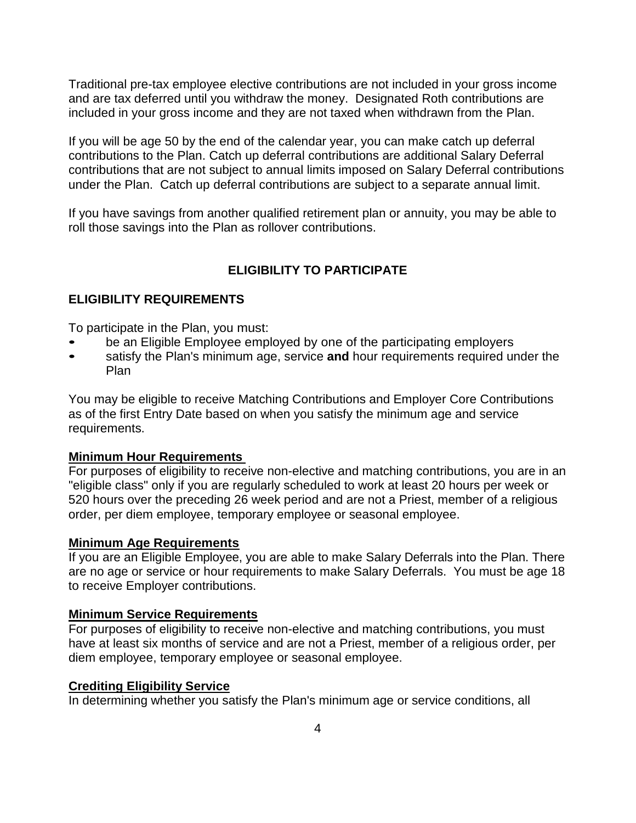Traditional pre-tax employee elective contributions are not included in your gross income and are tax deferred until you withdraw the money. Designated Roth contributions are included in your gross income and they are not taxed when withdrawn from the Plan.

If you will be age 50 by the end of the calendar year, you can make catch up deferral contributions to the Plan. Catch up deferral contributions are additional Salary Deferral contributions that are not subject to annual limits imposed on Salary Deferral contributions under the Plan. Catch up deferral contributions are subject to a separate annual limit.

If you have savings from another qualified retirement plan or annuity, you may be able to roll those savings into the Plan as rollover contributions.

## **ELIGIBILITY TO PARTICIPATE**

### **ELIGIBILITY REQUIREMENTS**

To participate in the Plan, you must:

- be an Eligible Employee employed by one of the participating employers
- satisfy the Plan's minimum age, service and hour requirements required under the Plan

You may be eligible to receive Matching Contributions and Employer Core Contributions as of the first Entry Date based on when you satisfy the minimum age and service requirements.

### **Minimum Hour Requirements**

For purposes of eligibility to receive non-elective and matching contributions, you are in an "eligible class" only if you are regularly scheduled to work at least 20 hours per week or 520 hours over the preceding 26 week period and are not a Priest, member of a religious order, per diem employee, temporary employee or seasonal employee.

### **Minimum Age Requirements**

If you are an Eligible Employee, you are able to make Salary Deferrals into the Plan. There are no age or service or hour requirements to make Salary Deferrals. You must be age 18 to receive Employer contributions.

#### **Minimum Service Requirements**

For purposes of eligibility to receive non-elective and matching contributions, you must have at least six months of service and are not a Priest, member of a religious order, per diem employee, temporary employee or seasonal employee.

### **Crediting Eligibility Service**

In determining whether you satisfy the Plan's minimum age or service conditions, all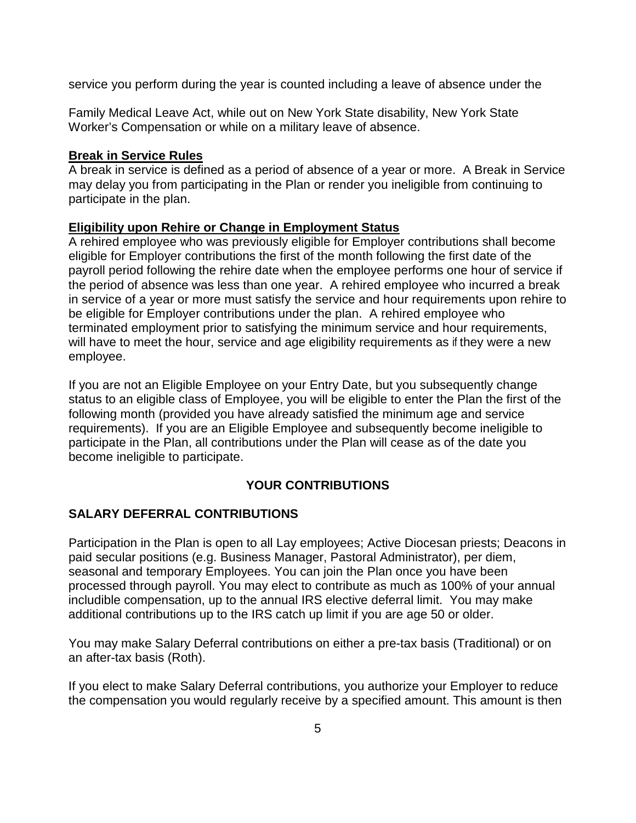service you perform during the year is counted including a leave of absence under the

Family Medical Leave Act, while out on New York State disability, New York State Worker's Compensation or while on a military leave of absence.

### **Break in Service Rules**

A break in service is defined as a period of absence of a year or more. A Break in Service may delay you from participating in the Plan or render you ineligible from continuing to participate in the plan.

### **Eligibility upon Rehire or Change in Employment Status**

A rehired employee who was previously eligible for Employer contributions shall become eligible for Employer contributions the first of the month following the first date of the payroll period following the rehire date when the employee performs one hour of service if the period of absence was less than one year. A rehired employee who incurred a break in service of a year or more must satisfy the service and hour requirements upon rehire to be eligible for Employer contributions under the plan. A rehired employee who terminated employment prior to satisfying the minimum service and hour requirements, will have to meet the hour, service and age eligibility requirements as if they were a new employee.

If you are not an Eligible Employee on your Entry Date, but you subsequently change status to an eligible class of Employee, you will be eligible to enter the Plan the first of the following month (provided you have already satisfied the minimum age and service requirements). If you are an Eligible Employee and subsequently become ineligible to participate in the Plan, all contributions under the Plan will cease as of the date you become ineligible to participate.

## **YOUR CONTRIBUTIONS**

## **SALARY DEFERRAL CONTRIBUTIONS**

Participation in the Plan is open to all Lay employees; Active Diocesan priests; Deacons in paid secular positions (e.g. Business Manager, Pastoral Administrator), per diem, seasonal and temporary Employees. You can join the Plan once you have been processed through payroll. You may elect to contribute as much as 100% of your annual includible compensation, up to the annual IRS elective deferral limit. You may make additional contributions up to the IRS catch up limit if you are age 50 or older.

You may make Salary Deferral contributions on either a pre-tax basis (Traditional) or on an after-tax basis (Roth).

If you elect to make Salary Deferral contributions, you authorize your Employer to reduce the compensation you would regularly receive by a specified amount. This amount is then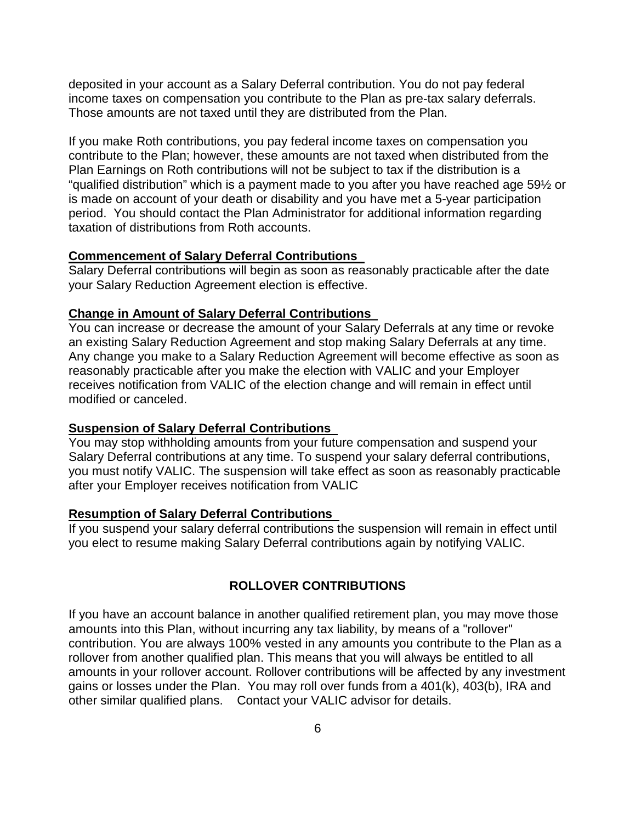deposited in your account as a Salary Deferral contribution. You do not pay federal income taxes on compensation you contribute to the Plan as pre-tax salary deferrals. Those amounts are not taxed until they are distributed from the Plan.

If you make Roth contributions, you pay federal income taxes on compensation you contribute to the Plan; however, these amounts are not taxed when distributed from the Plan Earnings on Roth contributions will not be subject to tax if the distribution is a "qualified distribution" which is a payment made to you after you have reached age 59½ or is made on account of your death or disability and you have met a 5-year participation period. You should contact the Plan Administrator for additional information regarding taxation of distributions from Roth accounts.

#### **Commencement of Salary Deferral Contributions**

Salary Deferral contributions will begin as soon as reasonably practicable after the date your Salary Reduction Agreement election is effective.

#### **Change in Amount of Salary Deferral Contributions**

You can increase or decrease the amount of your Salary Deferrals at any time or revoke an existing Salary Reduction Agreement and stop making Salary Deferrals at any time. Any change you make to a Salary Reduction Agreement will become effective as soon as reasonably practicable after you make the election with VALIC and your Employer receives notification from VALIC of the election change and will remain in effect until modified or canceled.

### **Suspension of Salary Deferral Contributions**

You may stop withholding amounts from your future compensation and suspend your Salary Deferral contributions at any time. To suspend your salary deferral contributions, you must notify VALIC. The suspension will take effect as soon as reasonably practicable after your Employer receives notification from VALIC

### **Resumption of Salary Deferral Contributions**

If you suspend your salary deferral contributions the suspension will remain in effect until you elect to resume making Salary Deferral contributions again by notifying VALIC.

### **ROLLOVER CONTRIBUTIONS**

If you have an account balance in another qualified retirement plan, you may move those amounts into this Plan, without incurring any tax liability, by means of a "rollover" contribution. You are always 100% vested in any amounts you contribute to the Plan as a rollover from another qualified plan. This means that you will always be entitled to all amounts in your rollover account. Rollover contributions will be affected by any investment gains or losses under the Plan. You may roll over funds from a 401(k), 403(b), IRA and other similar qualified plans. Contact your VALIC advisor for details.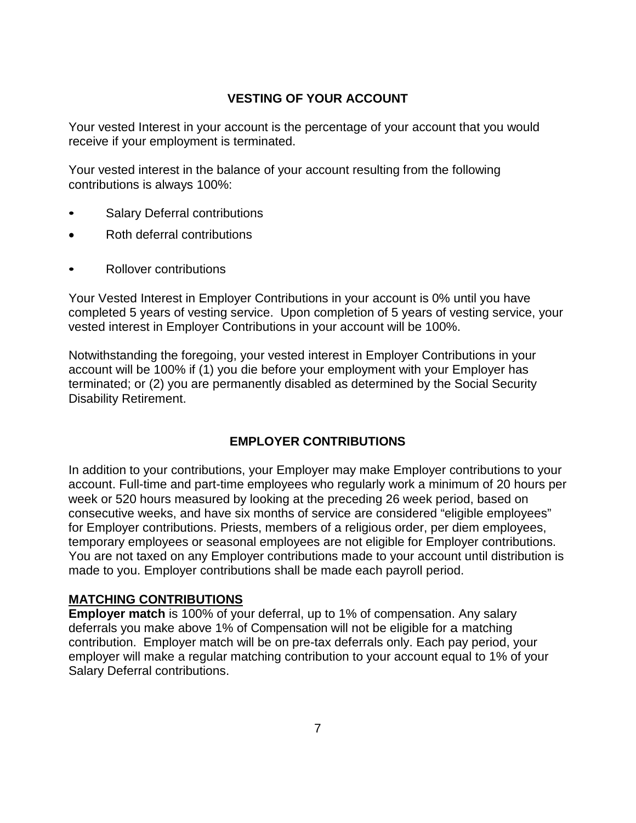## **VESTING OF YOUR ACCOUNT**

Your vested Interest in your account is the percentage of your account that you would receive if your employment is terminated.

Your vested interest in the balance of your account resulting from the following contributions is always 100%:

- Salary Deferral contributions
- Roth deferral contributions
- Rollover contributions

Your Vested Interest in Employer Contributions in your account is 0% until you have completed 5 years of vesting service. Upon completion of 5 years of vesting service, your vested interest in Employer Contributions in your account will be 100%.

Notwithstanding the foregoing, your vested interest in Employer Contributions in your account will be 100% if (1) you die before your employment with your Employer has terminated; or (2) you are permanently disabled as determined by the Social Security Disability Retirement.

## **EMPLOYER CONTRIBUTIONS**

In addition to your contributions, your Employer may make Employer contributions to your account. Full-time and part-time employees who regularly work a minimum of 20 hours per week or 520 hours measured by looking at the preceding 26 week period, based on consecutive weeks, and have six months of service are considered "eligible employees" for Employer contributions. Priests, members of a religious order, per diem employees, temporary employees or seasonal employees are not eligible for Employer contributions. You are not taxed on any Employer contributions made to your account until distribution is made to you. Employer contributions shall be made each payroll period.

### **MATCHING CONTRIBUTIONS**

**Employer match** is 100% of your deferral, up to 1% of compensation. Any salary deferrals you make above 1% of Compensation will not be eligible for a matching contribution. Employer match will be on pre-tax deferrals only. Each pay period, your employer will make a regular matching contribution to your account equal to 1% of your Salary Deferral contributions.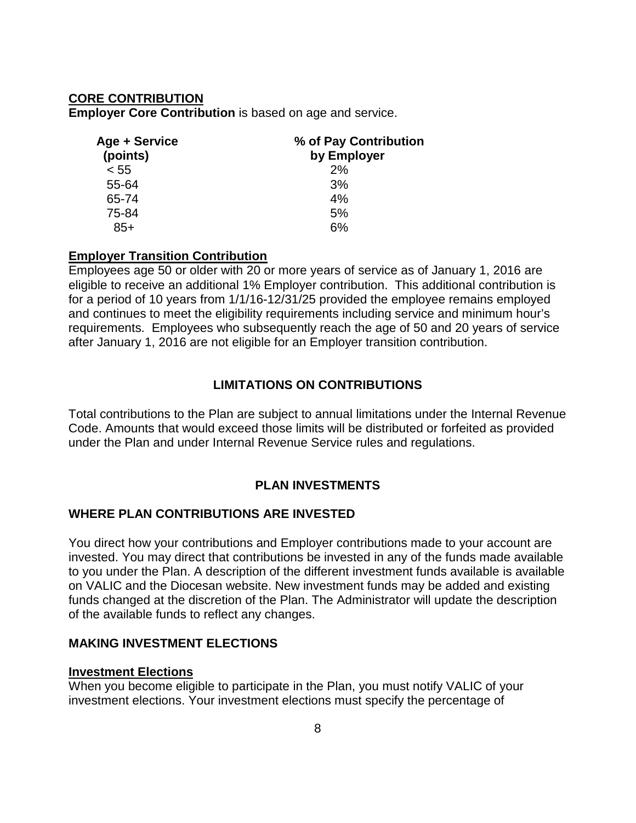## **CORE CONTRIBUTION**

**Employer Core Contribution** is based on age and service.

| Age + Service | % of Pay Contribution |  |
|---------------|-----------------------|--|
| (points)      | by Employer           |  |
| < 55          | 2%                    |  |
| 55-64         | 3%                    |  |
| 65-74         | 4%                    |  |
| 75-84         | 5%                    |  |
| $85+$         | 6%                    |  |

### **Employer Transition Contribution**

Employees age 50 or older with 20 or more years of service as of January 1, 2016 are eligible to receive an additional 1% Employer contribution. This additional contribution is for a period of 10 years from 1/1/16-12/31/25 provided the employee remains employed and continues to meet the eligibility requirements including service and minimum hour's requirements. Employees who subsequently reach the age of 50 and 20 years of service after January 1, 2016 are not eligible for an Employer transition contribution.

## **LIMITATIONS ON CONTRIBUTIONS**

Total contributions to the Plan are subject to annual limitations under the Internal Revenue Code. Amounts that would exceed those limits will be distributed or forfeited as provided under the Plan and under Internal Revenue Service rules and regulations.

## **PLAN INVESTMENTS**

### **WHERE PLAN CONTRIBUTIONS ARE INVESTED**

You direct how your contributions and Employer contributions made to your account are invested. You may direct that contributions be invested in any of the funds made available to you under the Plan. A description of the different investment funds available is available on VALIC and the Diocesan website. New investment funds may be added and existing funds changed at the discretion of the Plan. The Administrator will update the description of the available funds to reflect any changes.

### **MAKING INVESTMENT ELECTIONS**

#### **Investment Elections**

When you become eligible to participate in the Plan, you must notify VALIC of your investment elections. Your investment elections must specify the percentage of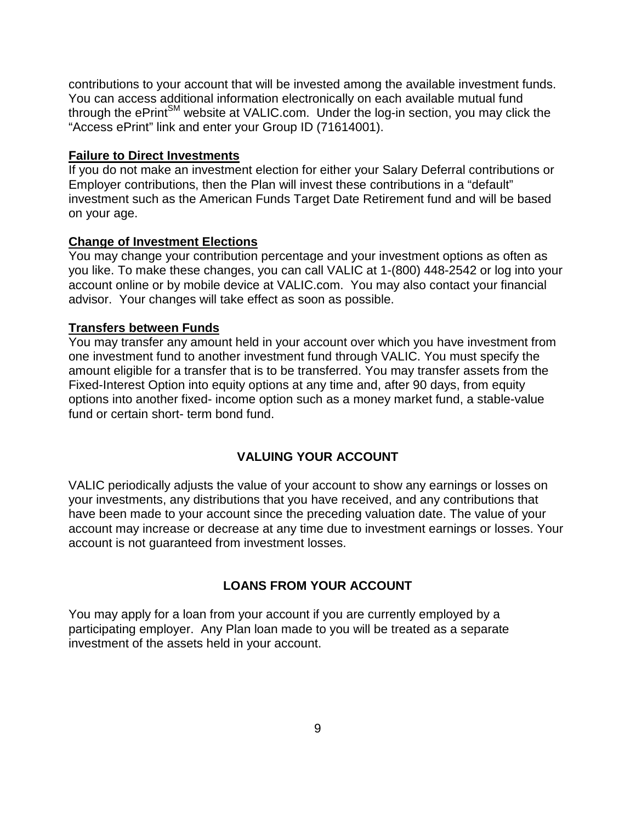contributions to your account that will be invested among the available investment funds. You can access additional information electronically on each available mutual fund through the ePrint<sup>SM</sup> website at VALIC.com. Under the log-in section, you may click the "Access ePrint" link and enter your Group ID (71614001).

### **Failure to Direct Investments**

If you do not make an investment election for either your Salary Deferral contributions or Employer contributions, then the Plan will invest these contributions in a "default" investment such as the American Funds Target Date Retirement fund and will be based on your age.

#### **Change of Investment Elections**

You may change your contribution percentage and your investment options as often as you like. To make these changes, you can call VALIC at 1-(800) 448-2542 or log into your account online or by mobile device at VALIC.com. You may also contact your financial advisor. Your changes will take effect as soon as possible.

### **Transfers between Funds**

You may transfer any amount held in your account over which you have investment from one investment fund to another investment fund through VALIC. You must specify the amount eligible for a transfer that is to be transferred. You may transfer assets from the Fixed-Interest Option into equity options at any time and, after 90 days, from equity options into another fixed- income option such as a money market fund, a stable-value fund or certain short- term bond fund.

### **VALUING YOUR ACCOUNT**

VALIC periodically adjusts the value of your account to show any earnings or losses on your investments, any distributions that you have received, and any contributions that have been made to your account since the preceding valuation date. The value of your account may increase or decrease at any time due to investment earnings or losses. Your account is not guaranteed from investment losses.

### **LOANS FROM YOUR ACCOUNT**

You may apply for a loan from your account if you are currently employed by a participating employer. Any Plan loan made to you will be treated as a separate investment of the assets held in your account.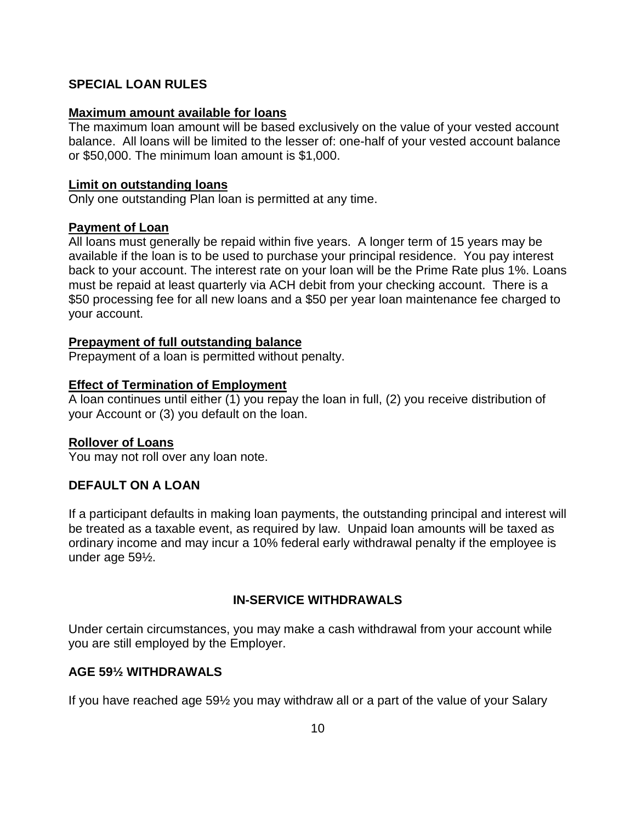## **SPECIAL LOAN RULES**

#### **Maximum amount available for loans**

The maximum loan amount will be based exclusively on the value of your vested account balance. All loans will be limited to the lesser of: one-half of your vested account balance or \$50,000. The minimum loan amount is \$1,000.

### **Limit on outstanding loans**

Only one outstanding Plan loan is permitted at any time.

### **Payment of Loan**

All loans must generally be repaid within five years. A longer term of 15 years may be available if the loan is to be used to purchase your principal residence.You pay interest back to your account. The interest rate on your loan will be the Prime Rate plus 1%. Loans must be repaid at least quarterly via ACH debit from your checking account. There is a \$50 processing fee for all new loans and a \$50 per year loan maintenance fee charged to your account.

### **Prepayment of full outstanding balance**

Prepayment of a loan is permitted without penalty.

### **Effect of Termination of Employment**

A loan continues until either (1) you repay the loan in full, (2) you receive distribution of your Account or (3) you default on the loan.

## **Rollover of Loans**

You may not roll over any loan note.

## **DEFAULT ON A LOAN**

If a participant defaults in making loan payments, the outstanding principal and interest will be treated as a taxable event, as required by law. Unpaid loan amounts will be taxed as ordinary income and may incur a 10% federal early withdrawal penalty if the employee is under age 59½.

## **IN-SERVICE WITHDRAWALS**

Under certain circumstances, you may make a cash withdrawal from your account while you are still employed by the Employer.

## **AGE 59½ WITHDRAWALS**

If you have reached age 59½ you may withdraw all or a part of the value of your Salary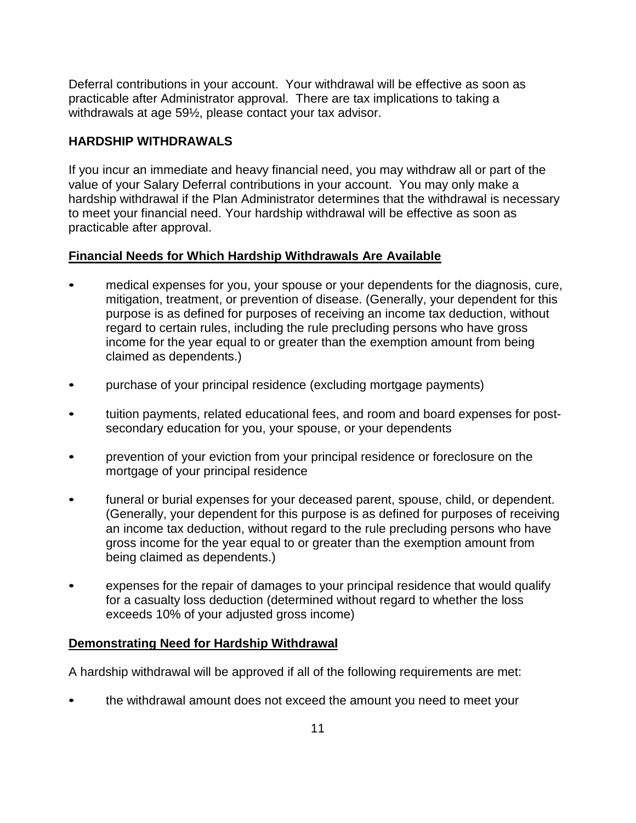Deferral contributions in your account. Your withdrawal will be effective as soon as practicable after Administrator approval. There are tax implications to taking a withdrawals at age 59½, please contact your tax advisor.

## **HARDSHIP WITHDRAWALS**

If you incur an immediate and heavy financial need, you may withdraw all or part of the value of your Salary Deferral contributions in your account. You may only make a hardship withdrawal if the Plan Administrator determines that the withdrawal is necessary to meet your financial need. Your hardship withdrawal will be effective as soon as practicable after approval.

## **Financial Needs for Which Hardship Withdrawals Are Available**

- medical expenses for you, your spouse or your dependents for the diagnosis, cure, mitigation, treatment, or prevention of disease. (Generally, your dependent for this purpose is as defined for purposes of receiving an income tax deduction, without regard to certain rules, including the rule precluding persons who have gross income for the year equal to or greater than the exemption amount from being claimed as dependents.)
- purchase of your principal residence (excluding mortgage payments)
- tuition payments, related educational fees, and room and board expenses for postsecondary education for you, your spouse, or your dependents
- prevention of your eviction from your principal residence or foreclosure on the mortgage of your principal residence
- funeral or burial expenses for your deceased parent, spouse, child, or dependent. (Generally, your dependent for this purpose is as defined for purposes of receiving an income tax deduction, without regard to the rule precluding persons who have gross income for the year equal to or greater than the exemption amount from being claimed as dependents.)
- expenses for the repair of damages to your principal residence that would qualify for a casualty loss deduction (determined without regard to whether the loss exceeds 10% of your adjusted gross income)

## **Demonstrating Need for Hardship Withdrawal**

A hardship withdrawal will be approved if all of the following requirements are met:

• the withdrawal amount does not exceed the amount you need to meet your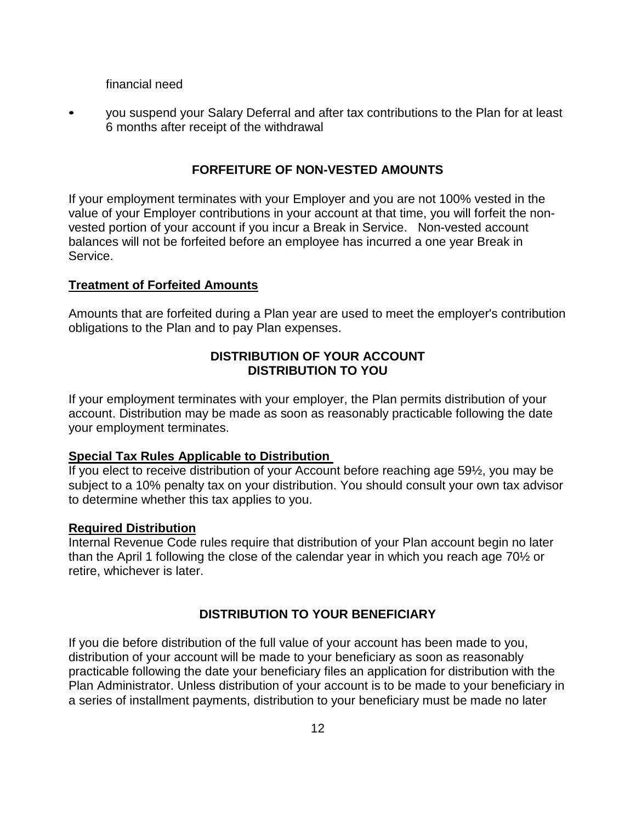financial need

• you suspend your Salary Deferral and after tax contributions to the Plan for at least 6 months after receipt of the withdrawal

### **FORFEITURE OF NON-VESTED AMOUNTS**

If your employment terminates with your Employer and you are not 100% vested in the value of your Employer contributions in your account at that time, you will forfeit the nonvested portion of your account if you incur a Break in Service. Non-vested account balances will not be forfeited before an employee has incurred a one year Break in Service.

#### **Treatment of Forfeited Amounts**

Amounts that are forfeited during a Plan year are used to meet the employer's contribution obligations to the Plan and to pay Plan expenses.

## **DISTRIBUTION OF YOUR ACCOUNT DISTRIBUTION TO YOU**

If your employment terminates with your employer, the Plan permits distribution of your account. Distribution may be made as soon as reasonably practicable following the date your employment terminates.

#### **Special Tax Rules Applicable to Distribution**

If you elect to receive distribution of your Account before reaching age 59½, you may be subject to a 10% penalty tax on your distribution. You should consult your own tax advisor to determine whether this tax applies to you.

#### **Required Distribution**

Internal Revenue Code rules require that distribution of your Plan account begin no later than the April 1 following the close of the calendar year in which you reach age 70½ or retire, whichever is later.

### **DISTRIBUTION TO YOUR BENEFICIARY**

If you die before distribution of the full value of your account has been made to you, distribution of your account will be made to your beneficiary as soon as reasonably practicable following the date your beneficiary files an application for distribution with the Plan Administrator. Unless distribution of your account is to be made to your beneficiary in a series of installment payments, distribution to your beneficiary must be made no later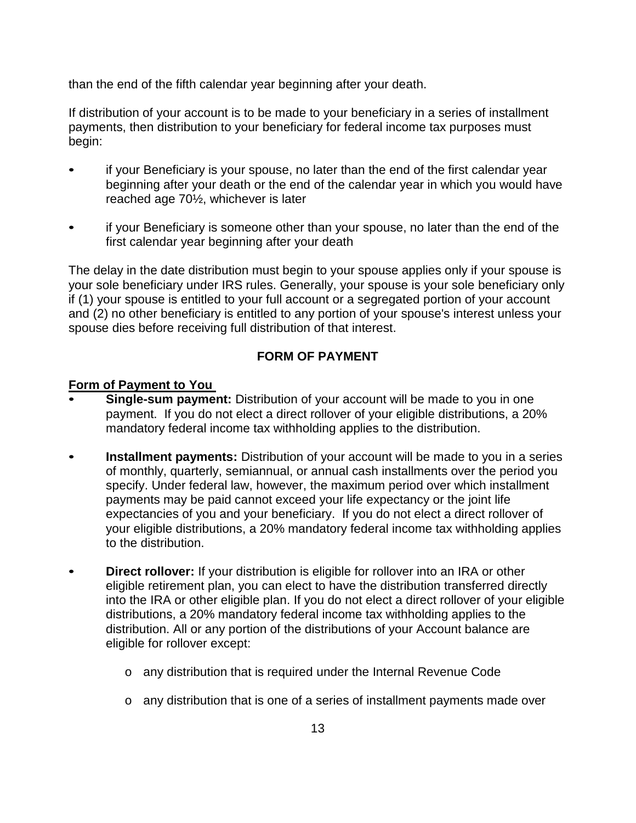than the end of the fifth calendar year beginning after your death.

If distribution of your account is to be made to your beneficiary in a series of installment payments, then distribution to your beneficiary for federal income tax purposes must begin:

- if your Beneficiary is your spouse, no later than the end of the first calendar year beginning after your death or the end of the calendar year in which you would have reached age 70½, whichever is later
- if your Beneficiary is someone other than your spouse, no later than the end of the first calendar year beginning after your death

The delay in the date distribution must begin to your spouse applies only if your spouse is your sole beneficiary under IRS rules. Generally, your spouse is your sole beneficiary only if (1) your spouse is entitled to your full account or a segregated portion of your account and (2) no other beneficiary is entitled to any portion of your spouse's interest unless your spouse dies before receiving full distribution of that interest.

## **FORM OF PAYMENT**

### **Form of Payment to You**

- **Single-sum payment:** Distribution of your account will be made to you in one payment. If you do not elect a direct rollover of your eligible distributions, a 20% mandatory federal income tax withholding applies to the distribution.
- **Installment payments:** Distribution of your account will be made to you in a series of monthly, quarterly, semiannual, or annual cash installments over the period you specify. Under federal law, however, the maximum period over which installment payments may be paid cannot exceed your life expectancy or the joint life expectancies of you and your beneficiary. If you do not elect a direct rollover of your eligible distributions, a 20% mandatory federal income tax withholding applies to the distribution.
- **Direct rollover:** If your distribution is eligible for rollover into an IRA or other eligible retirement plan, you can elect to have the distribution transferred directly into the IRA or other eligible plan. If you do not elect a direct rollover of your eligible distributions, a 20% mandatory federal income tax withholding applies to the distribution. All or any portion of the distributions of your Account balance are eligible for rollover except:
	- o any distribution that is required under the Internal Revenue Code
	- o any distribution that is one of a series of installment payments made over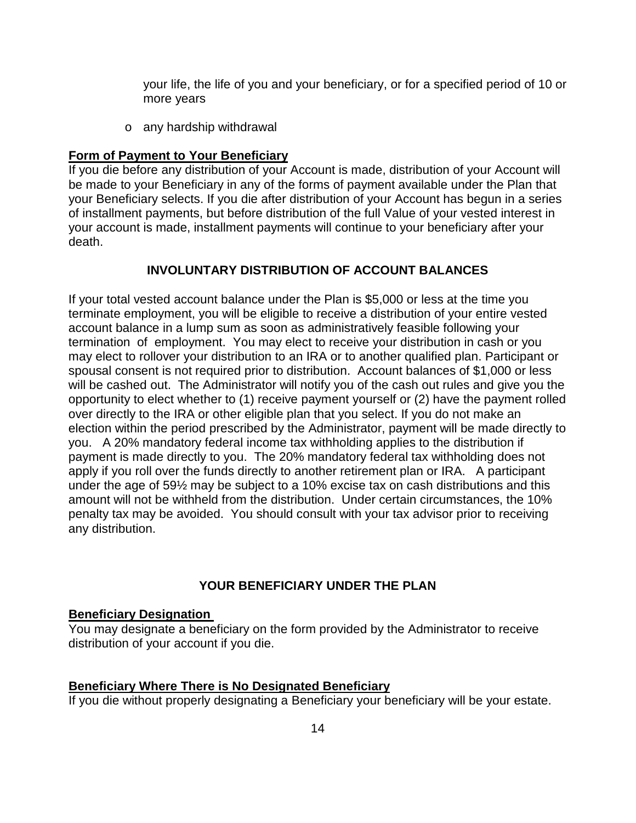your life, the life of you and your beneficiary, or for a specified period of 10 or more years

o any hardship withdrawal

#### **Form of Payment to Your Beneficiary**

If you die before any distribution of your Account is made, distribution of your Account will be made to your Beneficiary in any of the forms of payment available under the Plan that your Beneficiary selects. If you die after distribution of your Account has begun in a series of installment payments, but before distribution of the full Value of your vested interest in your account is made, installment payments will continue to your beneficiary after your death.

### **INVOLUNTARY DISTRIBUTION OF ACCOUNT BALANCES**

If your total vested account balance under the Plan is \$5,000 or less at the time you terminate employment, you will be eligible to receive a distribution of your entire vested account balance in a lump sum as soon as administratively feasible following your termination of employment. You may elect to receive your distribution in cash or you may elect to rollover your distribution to an IRA or to another qualified plan. Participant or spousal consent is not required prior to distribution. Account balances of \$1,000 or less will be cashed out. The Administrator will notify you of the cash out rules and give you the opportunity to elect whether to (1) receive payment yourself or (2) have the payment rolled over directly to the IRA or other eligible plan that you select. If you do not make an election within the period prescribed by the Administrator, payment will be made directly to you. A 20% mandatory federal income tax withholding applies to the distribution if payment is made directly to you. The 20% mandatory federal tax withholding does not apply if you roll over the funds directly to another retirement plan or IRA. A participant under the age of 59½ may be subject to a 10% excise tax on cash distributions and this amount will not be withheld from the distribution. Under certain circumstances, the 10% penalty tax may be avoided. You should consult with your tax advisor prior to receiving any distribution.

### **YOUR BENEFICIARY UNDER THE PLAN**

#### **Beneficiary Designation**

You may designate a beneficiary on the form provided by the Administrator to receive distribution of your account if you die.

#### **Beneficiary Where There is No Designated Beneficiary**

If you die without properly designating a Beneficiary your beneficiary will be your estate.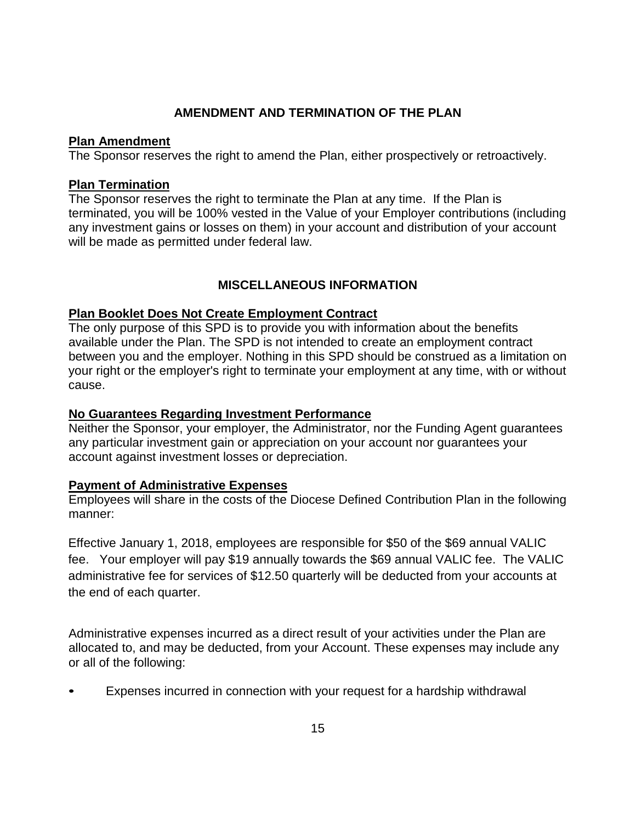## **AMENDMENT AND TERMINATION OF THE PLAN**

## **Plan Amendment**

The Sponsor reserves the right to amend the Plan, either prospectively or retroactively.

## **Plan Termination**

The Sponsor reserves the right to terminate the Plan at any time. If the Plan is terminated, you will be 100% vested in the Value of your Employer contributions (including any investment gains or losses on them) in your account and distribution of your account will be made as permitted under federal law.

## **MISCELLANEOUS INFORMATION**

## **Plan Booklet Does Not Create Employment Contract**

The only purpose of this SPD is to provide you with information about the benefits available under the Plan. The SPD is not intended to create an employment contract between you and the employer. Nothing in this SPD should be construed as a limitation on your right or the employer's right to terminate your employment at any time, with or without cause.

## **No Guarantees Regarding Investment Performance**

Neither the Sponsor, your employer, the Administrator, nor the Funding Agent guarantees any particular investment gain or appreciation on your account nor guarantees your account against investment losses or depreciation.

## **Payment of Administrative Expenses**

Employees will share in the costs of the Diocese Defined Contribution Plan in the following manner:

Effective January 1, 2018, employees are responsible for \$50 of the \$69 annual VALIC fee. Your employer will pay \$19 annually towards the \$69 annual VALIC fee. The VALIC administrative fee for services of \$12.50 quarterly will be deducted from your accounts at the end of each quarter.

Administrative expenses incurred as a direct result of your activities under the Plan are allocated to, and may be deducted, from your Account. These expenses may include any or all of the following:

• Expenses incurred in connection with your request for a hardship withdrawal